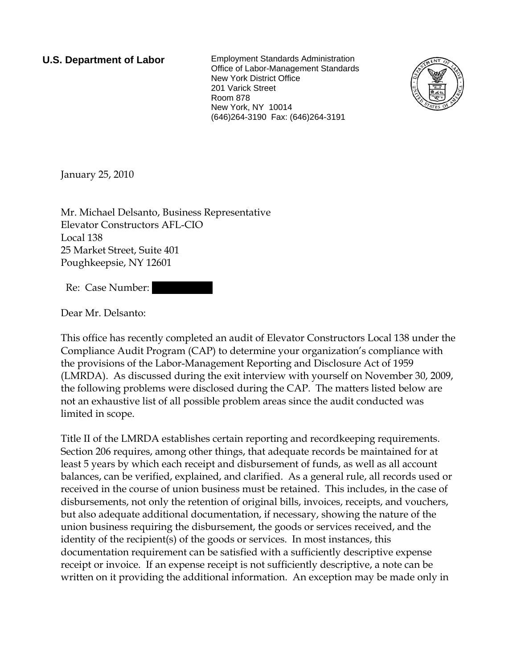**U.S. Department of Labor** Employment Standards Administration Office of Labor-Management Standards New York District Office 201 Varick Street Room 878 New York, NY 10014 (646)264-3190 Fax: (646)264-3191



January 25, 2010

Mr. Michael Delsanto, Business Representative Elevator Constructors AFL-CIO Local 138 25 Market Street, Suite 401 Poughkeepsie, NY 12601

Re: Case Number:

Dear Mr. Delsanto:

This office has recently completed an audit of Elevator Constructors Local 138 under the Compliance Audit Program (CAP) to determine your organization's compliance with the provisions of the Labor-Management Reporting and Disclosure Act of 1959 (LMRDA). As discussed during the exit interview with yourself on November 30, 2009, the following problems were disclosed during the CAP. The matters listed below are not an exhaustive list of all possible problem areas since the audit conducted was limited in scope.

Title II of the LMRDA establishes certain reporting and recordkeeping requirements. Section 206 requires, among other things, that adequate records be maintained for at least 5 years by which each receipt and disbursement of funds, as well as all account balances, can be verified, explained, and clarified. As a general rule, all records used or received in the course of union business must be retained. This includes, in the case of disbursements, not only the retention of original bills, invoices, receipts, and vouchers, but also adequate additional documentation, if necessary, showing the nature of the union business requiring the disbursement, the goods or services received, and the identity of the recipient(s) of the goods or services. In most instances, this documentation requirement can be satisfied with a sufficiently descriptive expense receipt or invoice. If an expense receipt is not sufficiently descriptive, a note can be written on it providing the additional information. An exception may be made only in